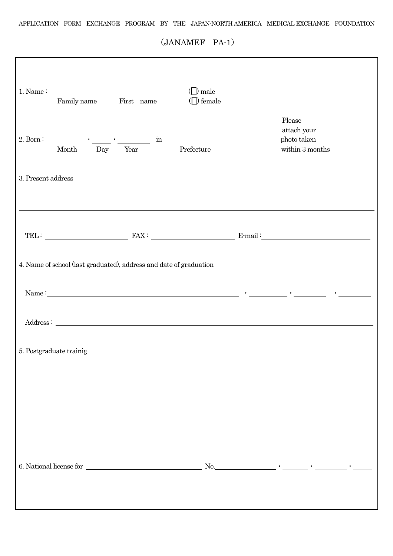$(JANAMEF PA-1)$ 

| attach your<br>2. Born : $\begin{tabular}{c} \multicolumn{1}{c }{\textbf{Month}} \end{tabular} \begin{tabular}{c} \multicolumn{1}{c }{\textbf{Month}} \end{tabular} \begin{tabular}{c} \multicolumn{1}{c }{\textbf{Month}} \end{tabular} \begin{tabular}{c} \multicolumn{1}{c }{\textbf{Month}} \end{tabular} \begin{tabular}{c} \multicolumn{1}{c }{\textbf{Month}} \end{tabular} \begin{tabular}{c} \multicolumn{1}{c }{\textbf{Month}} \end{tabular} \begin{tabular}{c} \multicolumn{1}{c }{\textbf{Month$<br>photo taken<br>within 3 months<br>3. Present address |  |  |  |  |  |  |  |  |  |  |
|-----------------------------------------------------------------------------------------------------------------------------------------------------------------------------------------------------------------------------------------------------------------------------------------------------------------------------------------------------------------------------------------------------------------------------------------------------------------------------------------------------------------------------------------------------------------------|--|--|--|--|--|--|--|--|--|--|
|                                                                                                                                                                                                                                                                                                                                                                                                                                                                                                                                                                       |  |  |  |  |  |  |  |  |  |  |
|                                                                                                                                                                                                                                                                                                                                                                                                                                                                                                                                                                       |  |  |  |  |  |  |  |  |  |  |
|                                                                                                                                                                                                                                                                                                                                                                                                                                                                                                                                                                       |  |  |  |  |  |  |  |  |  |  |
| 4. Name of school (last graduated), address and date of graduation                                                                                                                                                                                                                                                                                                                                                                                                                                                                                                    |  |  |  |  |  |  |  |  |  |  |
| Name: $\qquad \qquad$ $\qquad \qquad$ $\qquad \qquad$ $\qquad \qquad$ $\qquad \qquad$ $\qquad \qquad$ $\qquad \qquad$ $\qquad \qquad$ $\qquad \qquad$ $\qquad \qquad$ $\qquad$                                                                                                                                                                                                                                                                                                                                                                                        |  |  |  |  |  |  |  |  |  |  |
|                                                                                                                                                                                                                                                                                                                                                                                                                                                                                                                                                                       |  |  |  |  |  |  |  |  |  |  |
| 5. Postgraduate trainig                                                                                                                                                                                                                                                                                                                                                                                                                                                                                                                                               |  |  |  |  |  |  |  |  |  |  |
|                                                                                                                                                                                                                                                                                                                                                                                                                                                                                                                                                                       |  |  |  |  |  |  |  |  |  |  |
|                                                                                                                                                                                                                                                                                                                                                                                                                                                                                                                                                                       |  |  |  |  |  |  |  |  |  |  |
|                                                                                                                                                                                                                                                                                                                                                                                                                                                                                                                                                                       |  |  |  |  |  |  |  |  |  |  |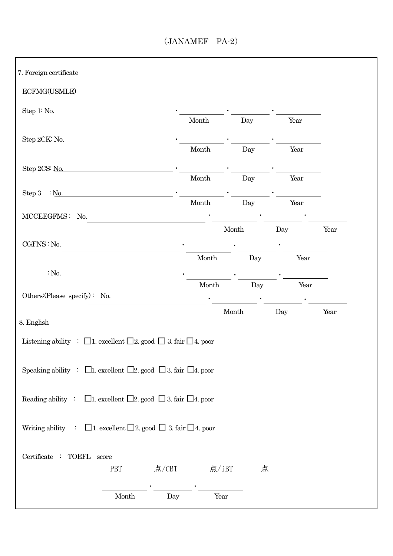## $(JANAMEF PA-2)$

| ECFMG(USMLE)                                                                                                                                                                                                                                                      |                        |                        |      |      |
|-------------------------------------------------------------------------------------------------------------------------------------------------------------------------------------------------------------------------------------------------------------------|------------------------|------------------------|------|------|
|                                                                                                                                                                                                                                                                   |                        |                        |      |      |
| Step 1: No.                                                                                                                                                                                                                                                       |                        |                        | Year |      |
|                                                                                                                                                                                                                                                                   | Month                  | Day                    |      |      |
| Step 2CK: No.                                                                                                                                                                                                                                                     | $\operatorname{Month}$ | Day                    | Year |      |
|                                                                                                                                                                                                                                                                   |                        |                        |      |      |
| Step 2CS: No.                                                                                                                                                                                                                                                     | Month                  | Day                    | Year |      |
| Step 3 : $N_0$ .                                                                                                                                                                                                                                                  |                        |                        |      |      |
|                                                                                                                                                                                                                                                                   | $\operatorname{Month}$ | Day                    | Year |      |
| MCCEEGFMS: No.                                                                                                                                                                                                                                                    |                        |                        |      |      |
|                                                                                                                                                                                                                                                                   |                        | $\operatorname{Month}$ | Day  | Year |
| CGFNS: No.                                                                                                                                                                                                                                                        |                        |                        |      |      |
|                                                                                                                                                                                                                                                                   | $\operatorname{Month}$ | Day                    | Year |      |
| : No.                                                                                                                                                                                                                                                             | Month                  | Day                    | Year |      |
| Others: (Please specify): No.                                                                                                                                                                                                                                     |                        |                        |      |      |
|                                                                                                                                                                                                                                                                   |                        |                        |      |      |
|                                                                                                                                                                                                                                                                   |                        | Month                  | Day  | Year |
|                                                                                                                                                                                                                                                                   |                        |                        |      |      |
|                                                                                                                                                                                                                                                                   |                        |                        |      |      |
|                                                                                                                                                                                                                                                                   |                        |                        |      |      |
|                                                                                                                                                                                                                                                                   |                        |                        |      |      |
|                                                                                                                                                                                                                                                                   |                        |                        |      |      |
| 8. English<br>Listening ability : $\Box$ 1. excellent $\Box$ 2. good $\Box$ 3. fair $\Box$ 4. poor<br>Speaking ability : $\Box$ 1. excellent $\Box$ 2. good $\Box$ 3. fair $\Box$ 4. poor<br>□1. excellent □2. good □ 3. fair □4. poor<br>Reading ability $\cdot$ |                        |                        |      |      |
|                                                                                                                                                                                                                                                                   |                        |                        |      |      |
| □ 1. excellent □ 2. good □ 3. fair □ 4. poor<br>$\ddot{\phantom{a}}$ .                                                                                                                                                                                            |                        |                        |      |      |
| Writing ability                                                                                                                                                                                                                                                   |                        |                        |      |      |
| Certificate : TOEFL score<br>PBT                                                                                                                                                                                                                                  | 点/CBT<br>点/iBT         | 点                      |      |      |